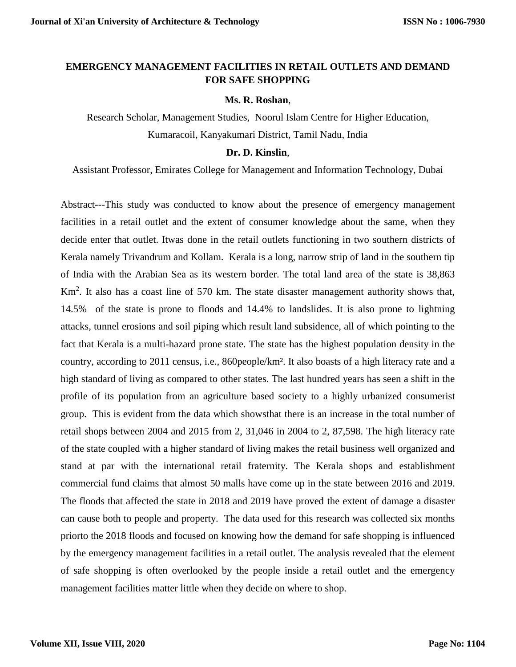# **EMERGENCY MANAGEMENT FACILITIES IN RETAIL OUTLETS AND DEMAND FOR SAFE SHOPPING**

#### **Ms. R. Roshan**,

Research Scholar, Management Studies, Noorul Islam Centre for Higher Education, Kumaracoil, Kanyakumari District, Tamil Nadu, India

#### **Dr. D. Kinslin**,

Assistant Professor, Emirates College for Management and Information Technology, Dubai

Abstract---This study was conducted to know about the presence of emergency management facilities in a retail outlet and the extent of consumer knowledge about the same, when they decide enter that outlet. Itwas done in the retail outlets functioning in two southern districts of Kerala namely Trivandrum and Kollam. Kerala is a long, narrow strip of land in the southern tip of India with the Arabian Sea as its western border. The total land area of the state is 38,863 Km<sup>2</sup>. It also has a coast line of 570 km. The state disaster management authority shows that, 14.5% of the state is prone to floods and 14.4% to landslides. It is also prone to lightning attacks, tunnel erosions and soil piping which result land subsidence, all of which pointing to the fact that Kerala is a multi-hazard prone state. The state has the highest population density in the country, according to 2011 census, i.e., 860people/km². It also boasts of a high literacy rate and a high standard of living as compared to other states. The last hundred years has seen a shift in the profile of its population from an agriculture based society to a highly urbanized consumerist group. This is evident from the data which showsthat there is an increase in the total number of retail shops between 2004 and 2015 from 2, 31,046 in 2004 to 2, 87,598. The high literacy rate of the state coupled with a higher standard of living makes the retail business well organized and stand at par with the international retail fraternity. The Kerala shops and establishment commercial fund claims that almost 50 malls have come up in the state between 2016 and 2019. The floods that affected the state in 2018 and 2019 have proved the extent of damage a disaster can cause both to people and property. The data used for this research was collected six months priorto the 2018 floods and focused on knowing how the demand for safe shopping is influenced by the emergency management facilities in a retail outlet. The analysis revealed that the element of safe shopping is often overlooked by the people inside a retail outlet and the emergency management facilities matter little when they decide on where to shop.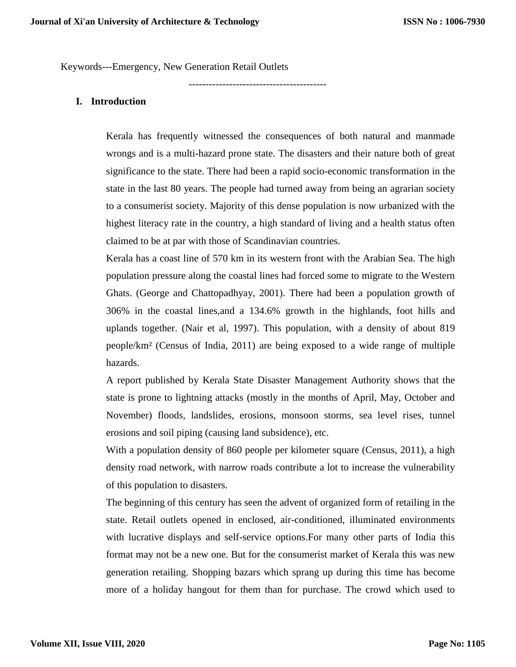Keywords---Emergency, New Generation Retail Outlets

-----------------------------------------

## **I. Introduction**

Kerala has frequently witnessed the consequences of both natural and manmade wrongs and is a multi-hazard prone state. The disasters and their nature both of great significance to the state. There had been a rapid socio-economic transformation in the state in the last 80 years. The people had turned away from being an agrarian society to a consumerist society. Majority of this dense population is now urbanized with the highest literacy rate in the country, a high standard of living and a health status often claimed to be at par with those of Scandinavian countries.

Kerala has a coast line of 570 km in its western front with the Arabian Sea. The high population pressure along the coastal lines had forced some to migrate to the Western Ghats. (George and Chattopadhyay, 2001). There had been a population growth of 306% in the coastal lines,and a 134.6% growth in the highlands, foot hills and uplands together. (Nair et al, 1997). This population, with a density of about 819 people/km² (Census of India, 2011) are being exposed to a wide range of multiple hazards.

A report published by Kerala State Disaster Management Authority shows that the state is prone to lightning attacks (mostly in the months of April, May, October and November) floods, landslides, erosions, monsoon storms, sea level rises, tunnel erosions and soil piping (causing land subsidence), etc.

With a population density of 860 people per kilometer square (Census, 2011), a high density road network, with narrow roads contribute a lot to increase the vulnerability of this population to disasters.

The beginning of this century has seen the advent of organized form of retailing in the state. Retail outlets opened in enclosed, air-conditioned, illuminated environments with lucrative displays and self-service options.For many other parts of India this format may not be a new one. But for the consumerist market of Kerala this was new generation retailing. Shopping bazars which sprang up during this time has become more of a holiday hangout for them than for purchase. The crowd which used to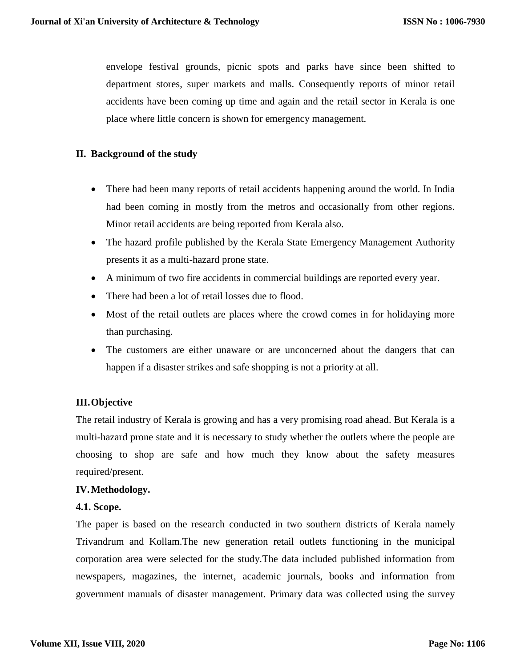envelope festival grounds, picnic spots and parks have since been shifted to department stores, super markets and malls. Consequently reports of minor retail accidents have been coming up time and again and the retail sector in Kerala is one place where little concern is shown for emergency management.

# **II. Background of the study**

- There had been many reports of retail accidents happening around the world. In India had been coming in mostly from the metros and occasionally from other regions. Minor retail accidents are being reported from Kerala also.
- The hazard profile published by the Kerala State Emergency Management Authority presents it as a multi-hazard prone state.
- A minimum of two fire accidents in commercial buildings are reported every year.
- There had been a lot of retail losses due to flood.
- Most of the retail outlets are places where the crowd comes in for holidaying more than purchasing.
- The customers are either unaware or are unconcerned about the dangers that can happen if a disaster strikes and safe shopping is not a priority at all.

## **III.Objective**

The retail industry of Kerala is growing and has a very promising road ahead. But Kerala is a multi-hazard prone state and it is necessary to study whether the outlets where the people are choosing to shop are safe and how much they know about the safety measures required/present.

## **IV.Methodology.**

## **4.1. Scope.**

The paper is based on the research conducted in two southern districts of Kerala namely Trivandrum and Kollam.The new generation retail outlets functioning in the municipal corporation area were selected for the study.The data included published information from newspapers, magazines, the internet, academic journals, books and information from government manuals of disaster management. Primary data was collected using the survey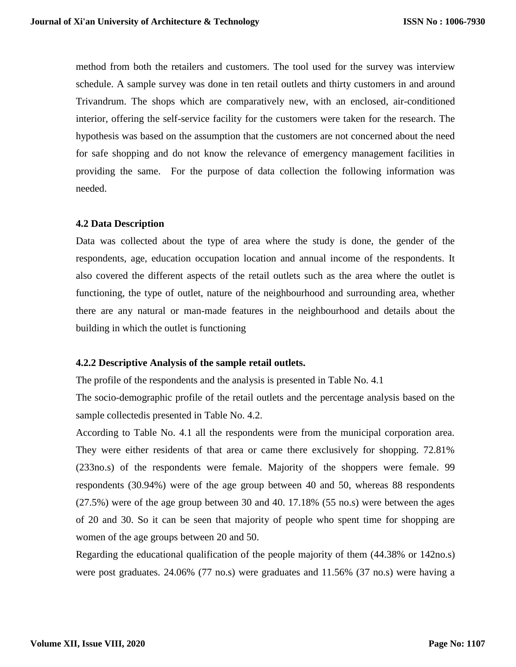method from both the retailers and customers. The tool used for the survey was interview schedule. A sample survey was done in ten retail outlets and thirty customers in and around Trivandrum. The shops which are comparatively new, with an enclosed, air-conditioned interior, offering the self-service facility for the customers were taken for the research. The hypothesis was based on the assumption that the customers are not concerned about the need for safe shopping and do not know the relevance of emergency management facilities in providing the same. For the purpose of data collection the following information was needed.

## **4.2 Data Description**

Data was collected about the type of area where the study is done, the gender of the respondents, age, education occupation location and annual income of the respondents. It also covered the different aspects of the retail outlets such as the area where the outlet is functioning, the type of outlet, nature of the neighbourhood and surrounding area, whether there are any natural or man-made features in the neighbourhood and details about the building in which the outlet is functioning

### **4.2.2 Descriptive Analysis of the sample retail outlets.**

The profile of the respondents and the analysis is presented in Table No. 4.1

The socio-demographic profile of the retail outlets and the percentage analysis based on the sample collectedis presented in Table No. 4.2.

According to Table No. 4.1 all the respondents were from the municipal corporation area. They were either residents of that area or came there exclusively for shopping. 72.81% (233no.s) of the respondents were female. Majority of the shoppers were female. 99 respondents (30.94%) were of the age group between 40 and 50, whereas 88 respondents (27.5%) were of the age group between 30 and 40. 17.18% (55 no.s) were between the ages of 20 and 30. So it can be seen that majority of people who spent time for shopping are women of the age groups between 20 and 50.

Regarding the educational qualification of the people majority of them (44.38% or 142no.s) were post graduates. 24.06% (77 no.s) were graduates and 11.56% (37 no.s) were having a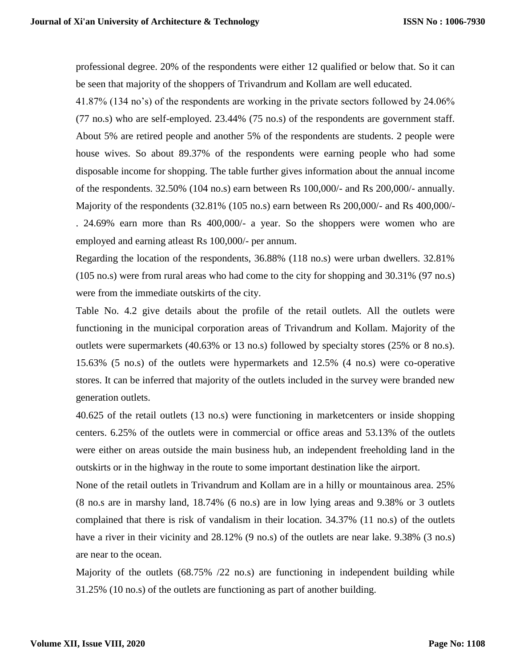professional degree. 20% of the respondents were either 12 qualified or below that. So it can be seen that majority of the shoppers of Trivandrum and Kollam are well educated.

41.87% (134 no's) of the respondents are working in the private sectors followed by 24.06% (77 no.s) who are self-employed. 23.44% (75 no.s) of the respondents are government staff. About 5% are retired people and another 5% of the respondents are students. 2 people were house wives. So about 89.37% of the respondents were earning people who had some disposable income for shopping. The table further gives information about the annual income of the respondents. 32.50% (104 no.s) earn between Rs 100,000/- and Rs 200,000/- annually. Majority of the respondents (32.81% (105 no.s) earn between Rs 200,000/- and Rs 400,000/- . 24.69% earn more than Rs 400,000/- a year. So the shoppers were women who are employed and earning atleast Rs 100,000/- per annum.

Regarding the location of the respondents, 36.88% (118 no.s) were urban dwellers. 32.81% (105 no.s) were from rural areas who had come to the city for shopping and 30.31% (97 no.s) were from the immediate outskirts of the city.

Table No. 4.2 give details about the profile of the retail outlets. All the outlets were functioning in the municipal corporation areas of Trivandrum and Kollam. Majority of the outlets were supermarkets (40.63% or 13 no.s) followed by specialty stores (25% or 8 no.s). 15.63% (5 no.s) of the outlets were hypermarkets and 12.5% (4 no.s) were co-operative stores. It can be inferred that majority of the outlets included in the survey were branded new generation outlets.

40.625 of the retail outlets (13 no.s) were functioning in marketcenters or inside shopping centers. 6.25% of the outlets were in commercial or office areas and 53.13% of the outlets were either on areas outside the main business hub, an independent freeholding land in the outskirts or in the highway in the route to some important destination like the airport.

None of the retail outlets in Trivandrum and Kollam are in a hilly or mountainous area. 25% (8 no.s are in marshy land, 18.74% (6 no.s) are in low lying areas and 9.38% or 3 outlets complained that there is risk of vandalism in their location. 34.37% (11 no.s) of the outlets have a river in their vicinity and 28.12% (9 no.s) of the outlets are near lake. 9.38% (3 no.s) are near to the ocean.

Majority of the outlets (68.75% /22 no.s) are functioning in independent building while 31.25% (10 no.s) of the outlets are functioning as part of another building.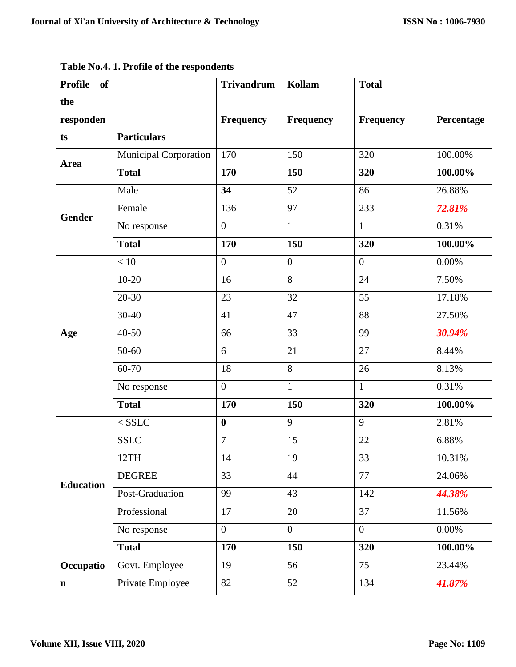| <b>Profile</b><br><b>of</b> |                              | <b>Trivandrum</b> | Kollam         | <b>Total</b>     |            |
|-----------------------------|------------------------------|-------------------|----------------|------------------|------------|
| the                         |                              |                   |                |                  |            |
| responden                   |                              | Frequency         | Frequency      | <b>Frequency</b> | Percentage |
| ts                          | <b>Particulars</b>           |                   |                |                  |            |
| <b>Area</b>                 | <b>Municipal Corporation</b> | 170               | 150            | 320              | 100.00%    |
|                             | <b>Total</b>                 | 170               | 150            | 320              | 100.00%    |
|                             | Male                         | 34                | 52             | 86               | 26.88%     |
| <b>Gender</b>               | Female                       | 136               | 97             | 233              | 72.81%     |
|                             | No response                  | $\mathbf{0}$      | $\mathbf{1}$   | $\mathbf{1}$     | 0.31%      |
|                             | <b>Total</b>                 | 170               | 150            | 320              | 100.00%    |
|                             | < 10                         | $\overline{0}$    | $\overline{0}$ | $\overline{0}$   | 0.00%      |
|                             | $10 - 20$                    | 16                | 8              | 24               | 7.50%      |
|                             | $20 - 30$                    | 23                | 32             | 55               | 17.18%     |
|                             | $30 - 40$                    | 41                | 47             | 88               | 27.50%     |
| Age                         | $40 - 50$                    | 66                | 33             | 99               | 30.94%     |
|                             | 50-60                        | 6                 | 21             | 27               | 8.44%      |
|                             | 60-70                        | 18                | 8              | 26               | 8.13%      |
|                             | No response                  | $\boldsymbol{0}$  | $\mathbf{1}$   | $\mathbf{1}$     | 0.31%      |
|                             | <b>Total</b>                 | 170               | 150            | 320              | 100.00%    |
|                             | $<$ SSLC                     | $\bf{0}$          | 9              | 9                | 2.81%      |
|                             | <b>SSLC</b>                  | $\overline{7}$    | 15             | 22               | 6.88%      |
|                             | 12TH                         | 14                | 19             | 33               | 10.31%     |
| <b>Education</b>            | <b>DEGREE</b>                | 33                | 44             | 77               | 24.06%     |
|                             | Post-Graduation              | 99                | 43             | 142              | 44.38%     |
|                             | Professional                 | 17                | 20             | 37               | 11.56%     |
|                             | No response                  | $\mathbf{0}$      | $\overline{0}$ | $\mathbf{0}$     | $0.00\%$   |
|                             | <b>Total</b>                 | 170               | 150            | 320              | 100.00%    |
| Occupatio                   | Govt. Employee               | 19                | 56             | 75               | 23.44%     |
| $\mathbf n$                 | Private Employee             | 82                | 52             | 134              | 41.87%     |

**Table No.4. 1. Profile of the respondents**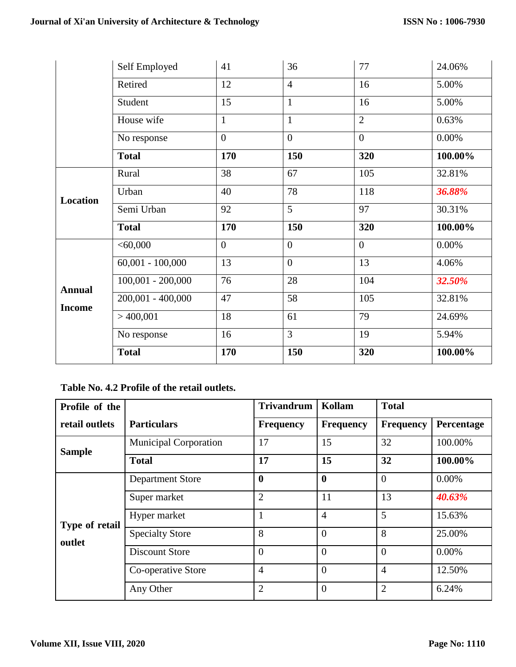|                 | Self Employed       | 41             | 36             | 77             | 24.06%   |
|-----------------|---------------------|----------------|----------------|----------------|----------|
|                 | Retired             | 12             | $\overline{4}$ | 16             | 5.00%    |
|                 | Student             | 15             | $\mathbf{1}$   | 16             | 5.00%    |
|                 | House wife          | $\mathbf{1}$   | $\mathbf{1}$   | $\overline{2}$ | 0.63%    |
|                 | No response         | $\overline{0}$ | $\overline{0}$ | $\mathbf{0}$   | $0.00\%$ |
|                 | <b>Total</b>        | 170            | 150            | 320            | 100.00%  |
| <b>Location</b> | Rural               | 38             | 67             | 105            | 32.81%   |
|                 | Urban               | 40             | 78             | 118            | 36.88%   |
|                 | Semi Urban          | 92             | $\overline{5}$ | 97             | 30.31%   |
|                 | <b>Total</b>        | 170            | 150            | 320            | 100.00%  |
|                 | < 60,000            | $\overline{0}$ | $\overline{0}$ | $\overline{0}$ | $0.00\%$ |
|                 | $60,001 - 100,000$  | 13             | $\overline{0}$ | 13             | 4.06%    |
| <b>Annual</b>   | $100,001 - 200,000$ | 76             | 28             | 104            | 32.50%   |
|                 | $200,001 - 400,000$ | 47             | 58             | 105            | 32.81%   |
| <b>Income</b>   | $>$ 400,001         | 18             | 61             | 79             | 24.69%   |
|                 | No response         | 16             | $\overline{3}$ | 19             | 5.94%    |
|                 | <b>Total</b>        | 170            | 150            | 320            | 100.00%  |

## **Table No. 4.2 Profile of the retail outlets.**

| Profile of the |                              | <b>Trivandrum</b> | Kollam           | <b>Total</b>     |            |
|----------------|------------------------------|-------------------|------------------|------------------|------------|
| retail outlets | <b>Particulars</b>           | <b>Frequency</b>  | <b>Frequency</b> | <b>Frequency</b> | Percentage |
| <b>Sample</b>  | <b>Municipal Corporation</b> | 17                | 15               | 32               | 100.00%    |
|                | <b>Total</b>                 | 17                | 15               | 32               | 100.00%    |
|                | <b>Department Store</b>      | $\mathbf 0$       | $\mathbf{0}$     | $\theta$         | $0.00\%$   |
|                | Super market                 | $\overline{2}$    | 11               | 13               | 40.63%     |
| Type of retail | Hyper market                 |                   | $\overline{4}$   | 5                | 15.63%     |
| outlet         | <b>Specialty Store</b>       | 8                 | $\theta$         | 8                | 25.00%     |
|                | <b>Discount Store</b>        | $\theta$          | $\Omega$         | $\overline{0}$   | $0.00\%$   |
|                | Co-operative Store           | $\overline{4}$    | $\theta$         | $\overline{4}$   | 12.50%     |
|                | Any Other                    | $\overline{2}$    | $\Omega$         | $\overline{2}$   | 6.24%      |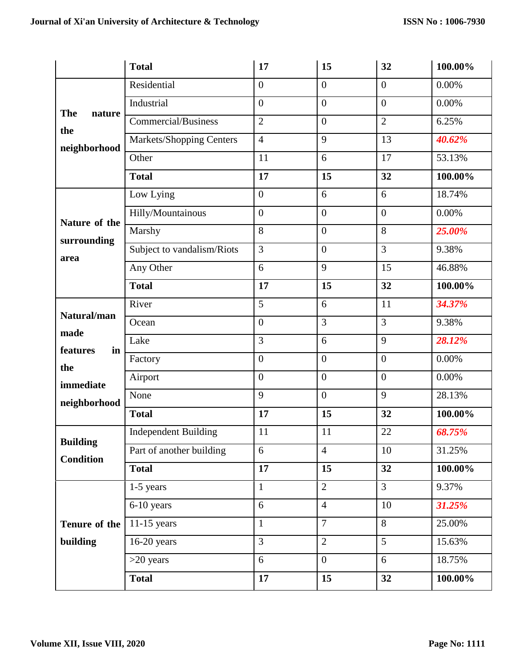|                      | <b>Total</b>                    | 17               | 15             | 32               | 100.00%  |
|----------------------|---------------------------------|------------------|----------------|------------------|----------|
|                      | Residential                     | $\overline{0}$   | $\overline{0}$ | $\boldsymbol{0}$ | 0.00%    |
| <b>The</b><br>nature | Industrial                      | $\overline{0}$   | $\overline{0}$ | $\boldsymbol{0}$ | 0.00%    |
| the                  | Commercial/Business             | $\overline{2}$   | $\overline{0}$ | $\overline{2}$   | 6.25%    |
| neighborhood         | <b>Markets/Shopping Centers</b> | $\overline{4}$   | 9              | 13               | 40.62%   |
|                      | Other                           | 11               | 6              | 17               | 53.13%   |
|                      | <b>Total</b>                    | 17               | 15             | 32               | 100.00%  |
|                      | Low Lying                       | $\boldsymbol{0}$ | 6              | 6                | 18.74%   |
| Nature of the        | Hilly/Mountainous               | $\boldsymbol{0}$ | $\overline{0}$ | $\boldsymbol{0}$ | $0.00\%$ |
| surrounding          | Marshy                          | 8                | $\overline{0}$ | 8                | 25.00%   |
| area                 | Subject to vandalism/Riots      | 3                | $\overline{0}$ | 3                | 9.38%    |
|                      | Any Other                       | 6                | 9              | 15               | 46.88%   |
|                      | <b>Total</b>                    | 17               | 15             | 32               | 100.00%  |
| Natural/man          | River                           | 5                | 6              | 11               | 34.37%   |
| made                 | Ocean                           | $\mathbf{0}$     | $\overline{3}$ | $\overline{3}$   | 9.38%    |
| features<br>in       | Lake                            | 3                | 6              | 9                | 28.12%   |
| the                  | Factory                         | $\boldsymbol{0}$ | $\overline{0}$ | $\boldsymbol{0}$ | 0.00%    |
| immediate            | Airport                         | $\overline{0}$   | $\overline{0}$ | $\boldsymbol{0}$ | $0.00\%$ |
| neighborhood         | None                            | 9                | $\overline{0}$ | 9                | 28.13%   |
|                      | <b>Total</b>                    | 17               | 15             | 32               | 100.00%  |
| <b>Building</b>      | <b>Independent Building</b>     | 11               | 11             | 22               | 68.75%   |
| <b>Condition</b>     | Part of another building        | 6                | $\overline{4}$ | 10               | 31.25%   |
|                      | <b>Total</b>                    | 17               | 15             | 32               | 100.00%  |
|                      | 1-5 years                       | $\mathbf{1}$     | $\overline{2}$ | $\overline{3}$   | 9.37%    |
|                      | 6-10 years                      | 6                | $\overline{4}$ | 10               | 31.25%   |
| Tenure of the        | $11-15$ years                   | $\mathbf{1}$     | $\overline{7}$ | 8                | 25.00%   |
| building             | $16-20$ years                   | 3                | $\overline{2}$ | 5                | 15.63%   |
|                      | $>20$ years                     | 6                | $\overline{0}$ | 6                | 18.75%   |
|                      | <b>Total</b>                    | 17               | 15             | 32               | 100.00%  |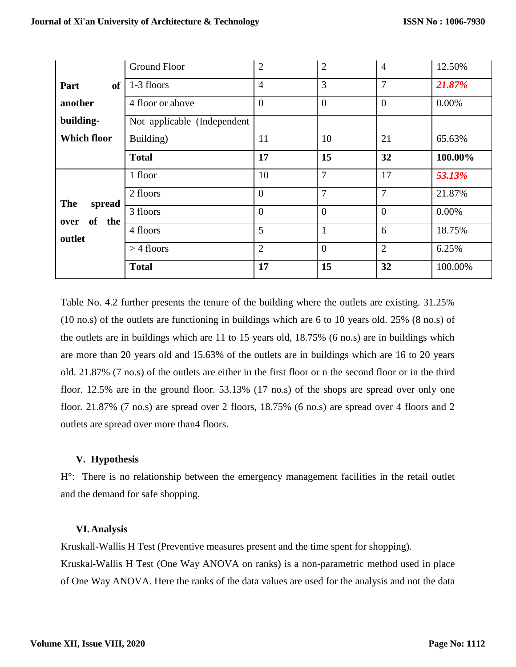|                          | <b>Ground Floor</b>         | $\overline{2}$ | $\mathbf{2}$   | $\overline{4}$ | 12.50%  |
|--------------------------|-----------------------------|----------------|----------------|----------------|---------|
| <b>of</b><br>Part        | 1-3 floors                  | $\overline{4}$ | 3              | $\overline{7}$ | 21.87%  |
| another                  | 4 floor or above            | $\theta$       | $\overline{0}$ | $\overline{0}$ | 0.00%   |
| building-                | Not applicable (Independent |                |                |                |         |
| <b>Which floor</b>       | Building)                   | 11             | 10             | 21             | 65.63%  |
|                          | <b>Total</b>                | 17             | 15             | 32             | 100.00% |
|                          | 1 floor                     | 10             | $\overline{7}$ | 17             | 53.13%  |
| <b>The</b>               | 2 floors                    | $\overline{0}$ | 7              | $\overline{7}$ | 21.87%  |
| spread<br>of the<br>over | 3 floors                    | $\theta$       | $\overline{0}$ | $\overline{0}$ | 0.00%   |
| outlet                   | 4 floors                    | 5              | $\mathbf{1}$   | 6              | 18.75%  |
|                          | $>$ 4 floors                | $\overline{2}$ | $\overline{0}$ | $\overline{2}$ | 6.25%   |
|                          | <b>Total</b>                | 17             | 15             | 32             | 100.00% |

Table No. 4.2 further presents the tenure of the building where the outlets are existing. 31.25% (10 no.s) of the outlets are functioning in buildings which are 6 to 10 years old. 25% (8 no.s) of the outlets are in buildings which are 11 to 15 years old, 18.75% (6 no.s) are in buildings which are more than 20 years old and 15.63% of the outlets are in buildings which are 16 to 20 years old. 21.87% (7 no.s) of the outlets are either in the first floor or n the second floor or in the third floor. 12.5% are in the ground floor. 53.13% (17 no.s) of the shops are spread over only one floor. 21.87% (7 no.s) are spread over 2 floors, 18.75% (6 no.s) are spread over 4 floors and 2 outlets are spread over more than4 floors.

## **V. Hypothesis**

H°: There is no relationship between the emergency management facilities in the retail outlet and the demand for safe shopping.

## **VI.Analysis**

Kruskall-Wallis H Test (Preventive measures present and the time spent for shopping). Kruskal-Wallis H Test (One Way ANOVA on ranks) is a non-parametric method used in place of One Way ANOVA. Here the ranks of the data values are used for the analysis and not the data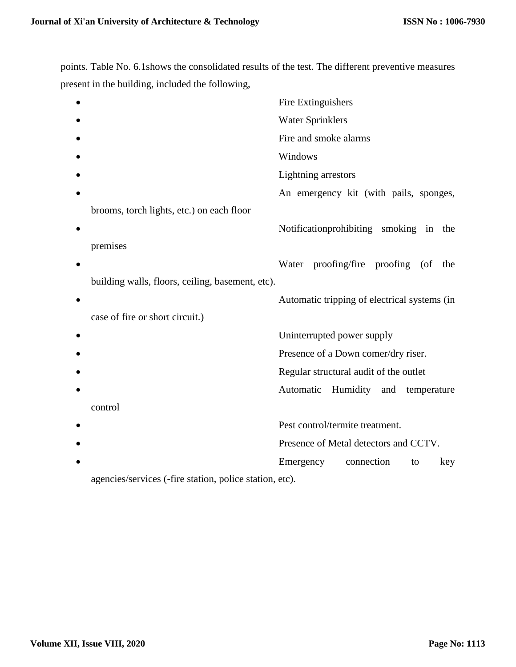points. Table No. 6.1shows the consolidated results of the test. The different preventive measures present in the building, included the following,

|                                                  | Fire Extinguishers                           |
|--------------------------------------------------|----------------------------------------------|
|                                                  | <b>Water Sprinklers</b>                      |
|                                                  | Fire and smoke alarms                        |
|                                                  | Windows                                      |
|                                                  | <b>Lightning</b> arrestors                   |
|                                                  | An emergency kit (with pails, sponges,       |
| brooms, torch lights, etc.) on each floor        |                                              |
|                                                  | Notification prohibiting smoking in<br>the   |
| premises                                         |                                              |
|                                                  | Water proofing/fire proofing (of<br>the      |
| building walls, floors, ceiling, basement, etc). |                                              |
|                                                  | Automatic tripping of electrical systems (in |
| case of fire or short circuit.)                  |                                              |
|                                                  | Uninterrupted power supply                   |
|                                                  | Presence of a Down comer/dry riser.          |
|                                                  | Regular structural audit of the outlet       |
|                                                  | Automatic Humidity and temperature           |
| control                                          |                                              |
|                                                  | Pest control/termite treatment.              |
|                                                  | Presence of Metal detectors and CCTV.        |
|                                                  | Emergency<br>connection<br>key<br>to         |
|                                                  |                                              |

agencies/services (-fire station, police station, etc).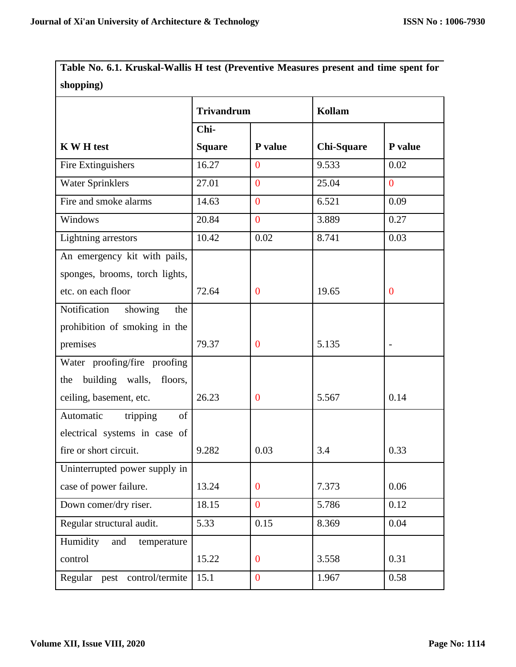**Table No. 6.1. Kruskal-Wallis H test (Preventive Measures present and time spent for shopping)** 

|                                   | <b>Trivandrum</b> |                  | Kollam            |                |
|-----------------------------------|-------------------|------------------|-------------------|----------------|
|                                   | Chi-              |                  |                   |                |
| <b>K W H test</b>                 | <b>Square</b>     | P value          | <b>Chi-Square</b> | P value        |
| Fire Extinguishers                | 16.27             | $\overline{0}$   | 9.533             | 0.02           |
| <b>Water Sprinklers</b>           | 27.01             | $\overline{0}$   | 25.04             | $\overline{0}$ |
| Fire and smoke alarms             | 14.63             | $\overline{0}$   | 6.521             | 0.09           |
| Windows                           | 20.84             | $\overline{0}$   | 3.889             | 0.27           |
| Lightning arrestors               | 10.42             | 0.02             | 8.741             | 0.03           |
| An emergency kit with pails,      |                   |                  |                   |                |
| sponges, brooms, torch lights,    |                   |                  |                   |                |
| etc. on each floor                | 72.64             | $\boldsymbol{0}$ | 19.65             | $\bf{0}$       |
| Notification<br>showing<br>the    |                   |                  |                   |                |
| prohibition of smoking in the     |                   |                  |                   |                |
| premises                          | 79.37             | $\mathbf{0}$     | 5.135             |                |
| Water proofing/fire proofing      |                   |                  |                   |                |
| building walls,<br>floors,<br>the |                   |                  |                   |                |
| ceiling, basement, etc.           | 26.23             | $\mathbf{0}$     | 5.567             | 0.14           |
| Automatic<br>tripping<br>of       |                   |                  |                   |                |
| electrical systems in case of     |                   |                  |                   |                |
| fire or short circuit.            | 9.282             | 0.03             | 3.4               | 0.33           |
| Uninterrupted power supply in     |                   |                  |                   |                |
| case of power failure.            | 13.24             | $\overline{0}$   | 7.373             | 0.06           |
| Down comer/dry riser.             | 18.15             | $\overline{0}$   | 5.786             | 0.12           |
| Regular structural audit.         | 5.33              | 0.15             | 8.369             | 0.04           |
| Humidity<br>and<br>temperature    |                   |                  |                   |                |
| control                           | 15.22             | $\boldsymbol{0}$ | 3.558             | 0.31           |
| Regular pest control/termite      | 15.1              | $\mathbf{0}$     | 1.967             | 0.58           |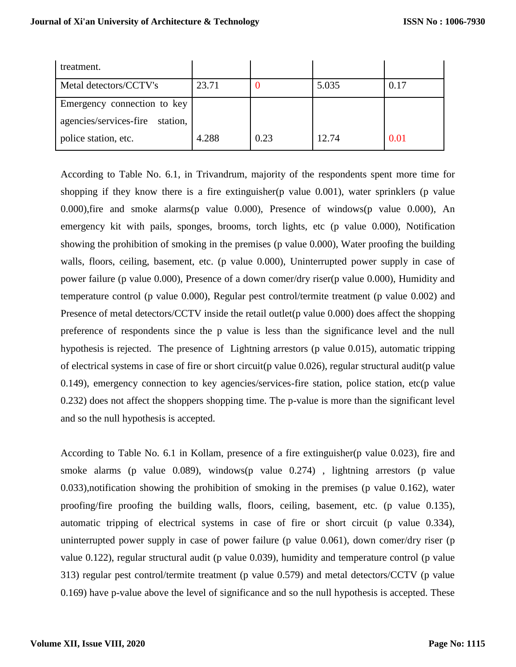| treatment.                         |       |      |       |      |
|------------------------------------|-------|------|-------|------|
| Metal detectors/CCTV's             | 23.71 |      | 5.035 | 0.17 |
| Emergency connection to key        |       |      |       |      |
| agencies/services-fire<br>station, |       |      |       |      |
| police station, etc.               | 4.288 | 0.23 | 12.74 | 0.01 |

According to Table No. 6.1, in Trivandrum, majority of the respondents spent more time for shopping if they know there is a fire extinguisher(p value 0.001), water sprinklers (p value 0.000),fire and smoke alarms(p value 0.000), Presence of windows(p value 0.000), An emergency kit with pails, sponges, brooms, torch lights, etc (p value 0.000), Notification showing the prohibition of smoking in the premises (p value 0.000), Water proofing the building walls, floors, ceiling, basement, etc. (p value 0.000), Uninterrupted power supply in case of power failure (p value 0.000), Presence of a down comer/dry riser(p value 0.000), Humidity and temperature control (p value 0.000), Regular pest control/termite treatment (p value 0.002) and Presence of metal detectors/CCTV inside the retail outlet(p value 0.000) does affect the shopping preference of respondents since the p value is less than the significance level and the null hypothesis is rejected. The presence of Lightning arrestors (p value 0.015), automatic tripping of electrical systems in case of fire or short circuit(p value 0.026), regular structural audit(p value 0.149), emergency connection to key agencies/services-fire station, police station, etc(p value 0.232) does not affect the shoppers shopping time. The p-value is more than the significant level and so the null hypothesis is accepted.

According to Table No. 6.1 in Kollam, presence of a fire extinguisher(p value 0.023), fire and smoke alarms (p value 0.089), windows(p value 0.274), lightning arrestors (p value 0.033),notification showing the prohibition of smoking in the premises (p value 0.162), water proofing/fire proofing the building walls, floors, ceiling, basement, etc. (p value 0.135), automatic tripping of electrical systems in case of fire or short circuit (p value 0.334), uninterrupted power supply in case of power failure (p value 0.061), down comer/dry riser (p value 0.122), regular structural audit (p value 0.039), humidity and temperature control (p value 313) regular pest control/termite treatment (p value 0.579) and metal detectors/CCTV (p value 0.169) have p-value above the level of significance and so the null hypothesis is accepted. These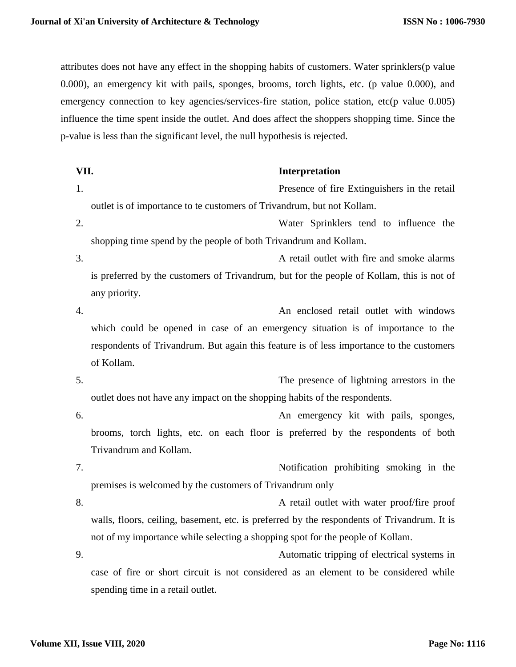attributes does not have any effect in the shopping habits of customers. Water sprinklers(p value 0.000), an emergency kit with pails, sponges, brooms, torch lights, etc. (p value 0.000), and emergency connection to key agencies/services-fire station, police station, etc(p value 0.005) influence the time spent inside the outlet. And does affect the shoppers shopping time. Since the p-value is less than the significant level, the null hypothesis is rejected.

| VII. | Interpretation |
|------|----------------|
|------|----------------|

1. Presence of fire Extinguishers in the retail outlet is of importance to te customers of Trivandrum, but not Kollam.

2. Water Sprinklers tend to influence the shopping time spend by the people of both Trivandrum and Kollam.

- 3. A retail outlet with fire and smoke alarms is preferred by the customers of Trivandrum, but for the people of Kollam, this is not of any priority.
- 4. An enclosed retail outlet with windows which could be opened in case of an emergency situation is of importance to the respondents of Trivandrum. But again this feature is of less importance to the customers of Kollam.

5. The presence of lightning arrestors in the outlet does not have any impact on the shopping habits of the respondents.

- 6. An emergency kit with pails, sponges, brooms, torch lights, etc. on each floor is preferred by the respondents of both Trivandrum and Kollam.
- 7. Notification prohibiting smoking in the premises is welcomed by the customers of Trivandrum only

8. A retail outlet with water proof/fire proof walls, floors, ceiling, basement, etc. is preferred by the respondents of Trivandrum. It is not of my importance while selecting a shopping spot for the people of Kollam.

9. Automatic tripping of electrical systems in case of fire or short circuit is not considered as an element to be considered while spending time in a retail outlet.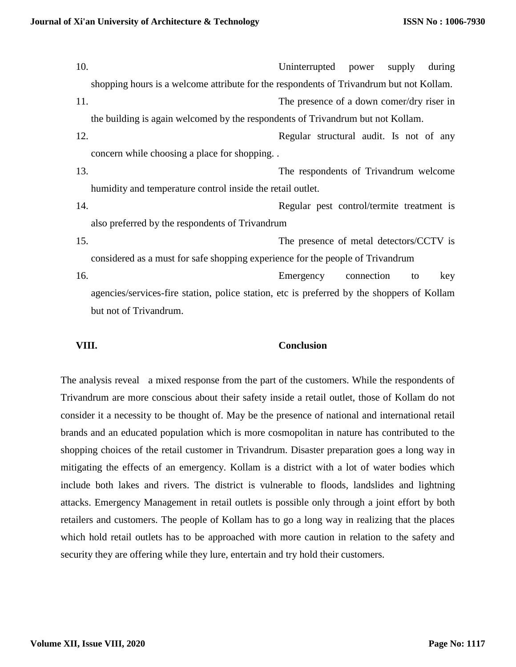10. Uninterrupted power supply during shopping hours is a welcome attribute for the respondents of Trivandrum but not Kollam. 11. The presence of a down comer/dry riser in the building is again welcomed by the respondents of Trivandrum but not Kollam. 12. Regular structural audit. Is not of any concern while choosing a place for shopping. . 13. The respondents of Trivandrum welcome humidity and temperature control inside the retail outlet. 14. Regular pest control/termite treatment is also preferred by the respondents of Trivandrum 15. The presence of metal detectors/CCTV is considered as a must for safe shopping experience for the people of Trivandrum 16. Emergency connection to key agencies/services-fire station, police station, etc is preferred by the shoppers of Kollam but not of Trivandrum.

**VIII. Conclusion**

The analysis reveal a mixed response from the part of the customers. While the respondents of Trivandrum are more conscious about their safety inside a retail outlet, those of Kollam do not consider it a necessity to be thought of. May be the presence of national and international retail brands and an educated population which is more cosmopolitan in nature has contributed to the shopping choices of the retail customer in Trivandrum. Disaster preparation goes a long way in mitigating the effects of an emergency. Kollam is a district with a lot of water bodies which include both lakes and rivers. The district is vulnerable to floods, landslides and lightning attacks. Emergency Management in retail outlets is possible only through a joint effort by both retailers and customers. The people of Kollam has to go a long way in realizing that the places which hold retail outlets has to be approached with more caution in relation to the safety and security they are offering while they lure, entertain and try hold their customers.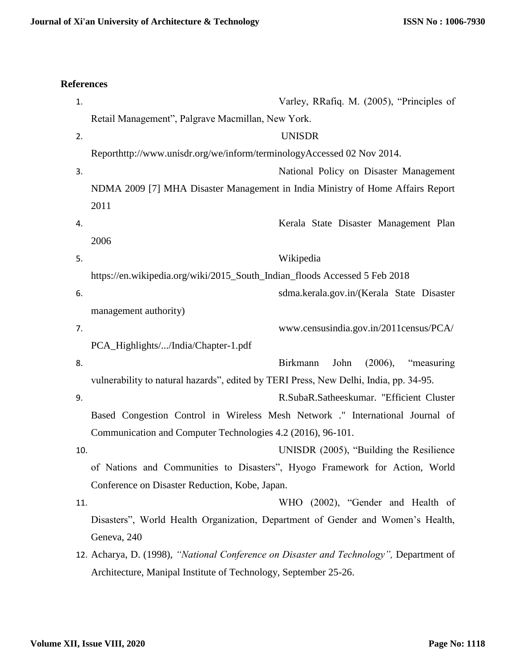# **References**

| 1.  | Varley, RRafiq. M. (2005), "Principles of                                               |
|-----|-----------------------------------------------------------------------------------------|
|     | Retail Management", Palgrave Macmillan, New York.                                       |
| 2.  | <b>UNISDR</b>                                                                           |
|     | Reporthttp://www.unisdr.org/we/inform/terminologyAccessed 02 Nov 2014.                  |
| 3.  | National Policy on Disaster Management                                                  |
|     | NDMA 2009 [7] MHA Disaster Management in India Ministry of Home Affairs Report          |
|     | 2011                                                                                    |
| 4.  | Kerala State Disaster Management Plan                                                   |
|     | 2006                                                                                    |
| 5.  | Wikipedia                                                                               |
|     | https://en.wikipedia.org/wiki/2015_South_Indian_floods Accessed 5 Feb 2018              |
| 6.  | sdma.kerala.gov.in/(Kerala State Disaster                                               |
|     | management authority)                                                                   |
| 7.  | www.censusindia.gov.in/2011census/PCA/                                                  |
|     | PCA_Highlights//India/Chapter-1.pdf                                                     |
| 8.  | (2006),<br><b>Birkmann</b><br>John<br>"measuring"                                       |
|     | vulnerability to natural hazards", edited by TERI Press, New Delhi, India, pp. 34-95.   |
| 9.  | R.SubaR.Satheeskumar. "Efficient Cluster                                                |
|     | Based Congestion Control in Wireless Mesh Network ." International Journal of           |
|     | Communication and Computer Technologies 4.2 (2016), 96-101.                             |
| 10. | UNISDR (2005), "Building the Resilience                                                 |
|     | of Nations and Communities to Disasters", Hyogo Framework for Action, World             |
|     | Conference on Disaster Reduction, Kobe, Japan.                                          |
| 11. | WHO (2002), "Gender and Health of                                                       |
|     | Disasters", World Health Organization, Department of Gender and Women's Health,         |
|     | Geneva, 240                                                                             |
|     | 12. Acharya, D. (1998), "National Conference on Disaster and Technology", Department of |
|     | Architecture, Manipal Institute of Technology, September 25-26.                         |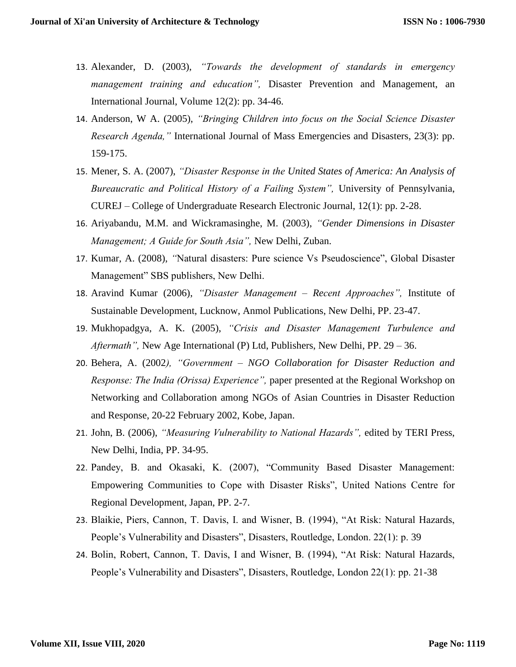- 13. Alexander, D. (2003), *"Towards the development of standards in emergency management training and education",* Disaster Prevention and Management, an International Journal, Volume 12(2): pp. 34-46.
- 14. Anderson, W A. (2005), *"Bringing Children into focus on the Social Science Disaster Research Agenda,"* International Journal of Mass Emergencies and Disasters, 23(3): pp. 159-175.
- 15. Mener, S. A. (2007), *"Disaster Response in the United States of America: An Analysis of Bureaucratic and Political History of a Failing System",* University of Pennsylvania, CUREJ – College of Undergraduate Research Electronic Journal, 12(1): pp. 2-28.
- 16. Ariyabandu, M.M. and Wickramasinghe, M. (2003), *"Gender Dimensions in Disaster Management; A Guide for South Asia",* New Delhi, Zuban.
- 17. Kumar, A. (2008), *"*Natural disasters: Pure science Vs Pseudoscience", Global Disaster Management" SBS publishers, New Delhi.
- 18. Aravind Kumar (2006), *"Disaster Management – Recent Approaches",* Institute of Sustainable Development, Lucknow, Anmol Publications, New Delhi, PP. 23-47.
- 19. Mukhopadgya, A. K. (2005), *"Crisis and Disaster Management Turbulence and Aftermath",* New Age International (P) Ltd, Publishers, New Delhi, PP. 29 – 36.
- 20. Behera, A. (2002*), "Government – NGO Collaboration for Disaster Reduction and Response: The India (Orissa) Experience",* paper presented at the Regional Workshop on Networking and Collaboration among NGOs of Asian Countries in Disaster Reduction and Response, 20-22 February 2002, Kobe, Japan.
- 21. John, B. (2006), *"Measuring Vulnerability to National Hazards",* edited by TERI Press, New Delhi, India, PP. 34-95.
- 22. Pandey, B. and Okasaki, K. (2007), "Community Based Disaster Management: Empowering Communities to Cope with Disaster Risks", United Nations Centre for Regional Development, Japan, PP. 2-7.
- 23. Blaikie, Piers, Cannon, T. Davis, I. and Wisner, B. (1994), "At Risk: Natural Hazards, People's Vulnerability and Disasters", Disasters, Routledge, London. 22(1): p. 39
- 24. Bolin, Robert, Cannon, T. Davis, I and Wisner, B. (1994), "At Risk: Natural Hazards, People's Vulnerability and Disasters", Disasters, Routledge, London 22(1): pp. 21-38